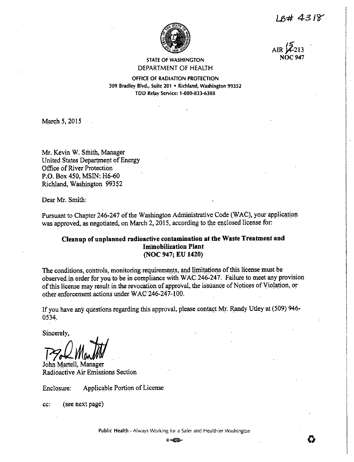LB# 4318



 $ATR\overline{2}$ 

# **STATE OF WASHINGTON** DEPARTMENT OF HEALTH

OFFICE OF RADIATION PROTECTION 309 Bradley Blvd., Suite 201 . Richland, Washington 99352 TDD Relay Service: 1-800-833-6388

March 5, 2015

Mr. Kevin W. Smith, Manager United States Department of Energy Office of River Protection P.O. Box 450, MSIN: H6-60 Richland, Washington 99352

Dear Mr. Smith:

Pursuant to Chapter 246-247 of the Washington Administrative Code (WAC), your application was approved, as negotiated, on March 2, 2015, according to the enclosed license for:

# Cleanup of unplanned radioactive contamination at the Waste Treatment and **Immobilization Plant** (NOC 947; EU 1420)

The conditions, controls, monitoring requirements, and limitations of this license must be observed in order for you to be in compliance with WAC 246-247. Failure to meet any provision of this license may result in the revocation of approval, the issuance of Notices of Violation, or other enforcement actions under WAC 246-247-100.

If you have any questions regarding this approval, please contact Mr. Randy Utley at (509) 946- $0534.$ 

Sincerely,

John Martell, Manager Radioactive Air Emissions Section

Applicable Portion of License Enclosure:

(see next page) cc:

Public Health - Always Working for a Safer and Healthier Washington

 $0 - 10$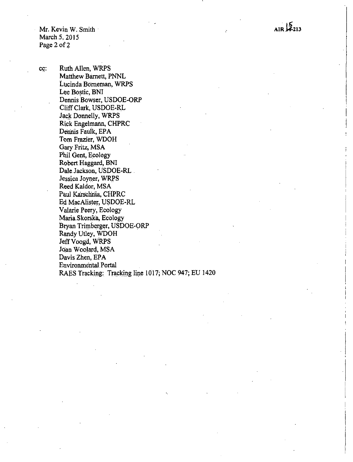Mr. Kevin W. Smith · March 5, 2015 Page 2 of 2

cc: Ruth Allen, WRPS Matthew Barnett, PNNL Lucinda Borneman, WRPS Lee Bostic, BNI Dennis Bowser, USDOE-ORP Cliff Clark, USDOE-R.L Jack Donnelly, WRPS Rick Engelmann, CHPRC Dennis Faulk, EPA Tom Frazier, WDOH Gary Fritz, MSA Phil Gent, Ecology Robert Haggard, BNI Dale Jackson, USDOE-RL . Jessica Joyner, WRPS Reed Kaldor, MSA Paul Karschnia, CHPRC Ed MacAlister, USDOE-RL Valarie Peery, Ecology MariaSkorska, Ecology Btyan Triinberger, USDOE-ORP Randy Utley, WDOH Jeff Voogd, WRPS Joan Woolard, MSA Davis Zhen, EPA Environmental. Portal RAES Tracking: Tracking line 1017; NOC 947; EU 1420

 $.15.$ AIR 14-213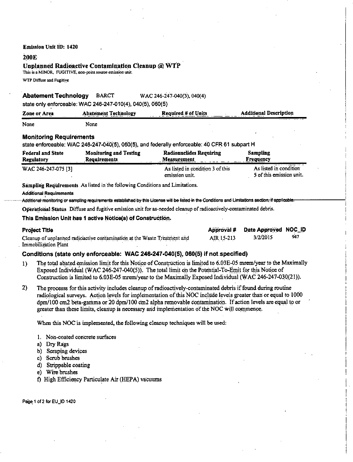### **Emission Unit ID: 1420**

### **200E**

## Unplanned Radioactive Contamination Cleanup @ WTP

This is a MINOR, FUGITIVE, non-point source emission unit.

WTP Diffuse and Fugitive

#### **Abatement Technology BARCT** WAC 246-247-040(3), 040(4)

state only enforceable: WAC 246-247-010(4), 040(5), 060(5)

| Zone or Area                                  | <b>Abatement Technology</b>                                                  | <b>Required # of Units</b>                                                                                                                          | <b>Additional Description</b>                      |
|-----------------------------------------------|------------------------------------------------------------------------------|-----------------------------------------------------------------------------------------------------------------------------------------------------|----------------------------------------------------|
| None                                          | None                                                                         |                                                                                                                                                     |                                                    |
| <b>Monitoring Requirements</b>                |                                                                              | state enforceable: WAC 246-247-040(5), 060(5), and federally enforceable: 40 CFR 61 subpart H                                                       |                                                    |
| <b>Federal and State</b><br><b>Regulatory</b> | <b>Monitoring and Testing</b><br>Requirements                                | <b>Radionuclides Requiring</b><br>Measurement                                                                                                       | Sampling<br>Frequency                              |
| WAC 246-247-075 [3]                           |                                                                              | As listed in condition 3 of this<br>emission unit.                                                                                                  | As listed in condition<br>5 of this emission unit. |
| <b>Additional Requirements</b>                | Sampling Requirements As listed in the following Conditions and Limitations. | Additional monitoring or sampling requirements established by this License will be listed in the Conditions and Limitations aection, if applicable. |                                                    |
|                                               |                                                                              | Operational Status Diffuse and fugitive emission unit for as-needed cleanup of radioactively-contaminated debris.                                   |                                                    |
|                                               | This Emission Unit has 1 active Notice(s) of Construction.                   |                                                                                                                                                     |                                                    |

| Project Title                                                             |            | Approval # Date Approved NOC_ID |     |
|---------------------------------------------------------------------------|------------|---------------------------------|-----|
| Cleanup of unplanned radioactive contamination at the Waste Treatment and | AIR 15-213 | 3/2/2015                        | 947 |
| Immobilization Plant                                                      |            |                                 |     |

## Conditions (state only enforceable: WAC 246-247-040(5), 060(5) if not specified)

- The total abated emission limit for this Notice of Construction is limited to 6.03E-05 mrem/year to the Maximally  $1)$ Exposed Individual (WAC 246-247-040(5)). The total limit on the Potential-To-Emit for this Notice of Construction is limited to 6.03E-05 mrem/year to the Maximally Exposed Individual (WAC 246-247-030(21)).
- $2)$ The processs for this activity includes cleanup of radioactively-contaminated debris if found during routine radiological surveys. Action levels for implementation of this NOC include levels greater than or equal to 1000 dpm/100 cm2 beta-gamma or 20 dpm/100 cm2 alpha removable contamination. If action levels are equal to or greater than these limits, cleanup is necessary and implementation of the NOC will commence.

When this NOC is implemented, the following cleanup techniques will be used:

- 1. Non-coated concrete surfaces
- a) Dry Rags
- b) Scraping devices
- c) Scrub brushes
- d) Strippable coating
- e) Wire brushes
- f) High Efficiency Particulate Air (HEPA) vacuums

Page 1 of 2 for EU\_ID 1420